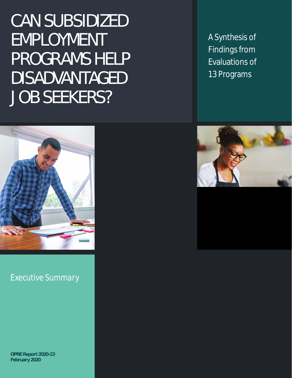CAN SUBSIDIZED EMPLOYMENT PROGRAMS HELP DISADVANTAGED JOB SEEKERS?

A Synthesis of Findings from Evaluations of 13 Programs



*Executive Summary*

**OPRE Report 2020-23 February 2020**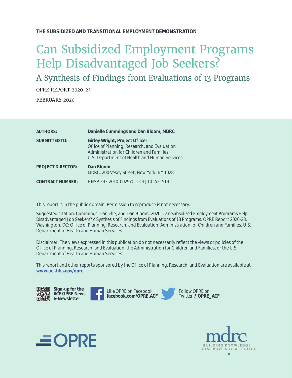#### **THE SUBSIDIZED AND TRANSITIONAL EMPLOYMENT DEMONSTRATION**

### Can Subsidized Employment Programs Help Disadvantaged Job Seekers?

A Synthesis of Findings from Evaluations of 13 Programs

OPRE REPORT 2020-23 FEBRUARY 2020

| <b>AUTHORS:</b>          | Danielle Cummings and Dan Bloom, MDRC                                                                                                                                    |
|--------------------------|--------------------------------------------------------------------------------------------------------------------------------------------------------------------------|
| <b>SUBMITTED TO:</b>     | Girley Wright, Project O icer<br>O ice of Planning, Research, and Evaluation<br>Administration for Children and Families<br>U.S. Department of Health and Human Services |
| <b>PROJECT DIRECTOR:</b> | Dan Bloom<br>MDRC, 200 Vesey Street, New York, NY 10281                                                                                                                  |
| <b>CONTRACT NUMBER:</b>  | HHSP 233-2010-0029YC; DOLJ101A21513                                                                                                                                      |

This report is in the public domain. Permission to reproduce is not necessary.

Suggested citation: Cummings, Danielle, and Dan Bloom. 2020. C*an Subsidized Employment Programs Help Disadvantaged Job Seekers? A Synthesis of Findings from Evaluations of 13 Programs*. OPRE Report 2020-23. Washington, DC: O ice of Planning, Research, and Evaluation, Administration for Children and Families, U.S. Department of Health and Human Services.

Disclaimer: The views expressed in this publication do not necessarily reflect the views or policies of the O ice of Planning, Research, and Evaluation, the Administration for Children and Families, or the U.S. Department of Health and Human Services.

This report and other reports sponsored by the O ice of Planning, Research, and Evaluation are available at **[www.acf.hhs.gov/opre](http://www.acf.hhs.gov/opre)**.





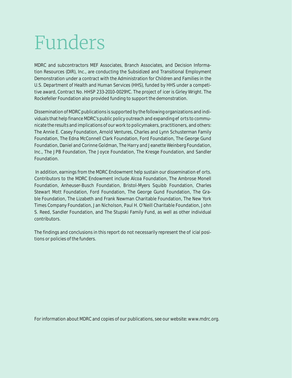# Funders

MDRC and subcontractors MEF Associates, Branch Associates, and Decision Information Resources (DIR), Inc., are conducting the Subsidized and Transitional Employment Demonstration under a contract with the Administration for Children and Families in the U.S. Department of Health and Human Services (HHS), funded by HHS under a competitive award, Contract No. HHSP 233-2010-0029YC. The project o icer is Girley Wright. The Rockefeller Foundation also provided funding to support the demonstration.

Dissemination of MDRC publications is supported by the following organizations and individuals that help finance MDRC's public policy outreach and expanding ee orts to communicate the results and implications of our work to policymakers, practitioners, and others: The Annie E. Casey Foundation, Arnold Ventures, Charles and Lynn Schusterman Family Foundation, The Edna McConnell Clark Foundation, Ford Foundation, The George Gund Foundation, Daniel and Corinne Goldman, The Harry and Jeanette Weinberg Foundation, Inc., The JPB Foundation, The Joyce Foundation, The Kresge Foundation, and Sandler Foundation.

In addition, earnings from the MDRC Endowment help sustain our dissemination  $e$  orts. Contributors to the MDRC Endowment include Alcoa Foundation, The Ambrose Monell Foundation, Anheuser-Busch Foundation, Bristol-Myers Squibb Foundation, Charles Stewart Mott Foundation, Ford Foundation, The George Gund Foundation, The Grable Foundation, The Lizabeth and Frank Newman Charitable Foundation, The New York Times Company Foundation, Jan Nicholson, Paul H. O'Neill Charitable Foundation, John S. Reed, Sandler Foundation, and The Stupski Family Fund, as well as other individual contributors.

The findings and conclusions in this report do not necessarily represent the  $\sigma$  icial positions or policies of the funders.

For information about MDRC and copies of our publications, see our website: www.mdrc.org.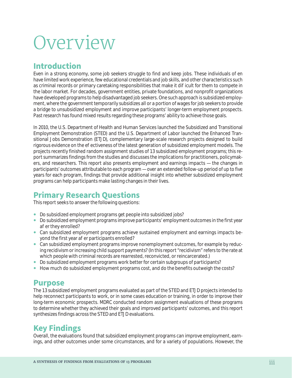# **Overview**

### **Introduction**

Even in a strong economy, some job seekers struggle to find and keep jobs. These individuals o en have limited work experience, few educational credentials and job skills, and other characteristics such as criminal records or primary caretaking responsibilities that make it di icult for them to compete in the labor market. For decades, government entities, private foundations, and nonprofit organizations have developed programs to help disadvantaged job seekers. One such approach is subsidized employment, where the government temporarily subsidizes all or a portion of wages for job seekers to provide a bridge to unsubsidized employment and improve participants' longer-term employment prospects. Past research has found mixed results regarding these programs' ability to achieve those goals.

In 2010, the U.S. Department of Health and Human Services launched the Subsidized and Transitional Employment Demonstration (STED) and the U.S. Department of Labor launched the Enhanced Transitional Jobs Demonstration (ETJD), complementary large-scale research projects designed to build rigorous evidence on the eectiveness of the latest generation of subsidized employment models. The projects recently finished random assignment studies of 13 subsidized employment programs; this report summarizes findings from the studies and discusses the implications for practitioners, policymakers, and researchers. This report also presents employment and earnings impacts — the changes in participants' outcomes attributable to each program — over an extended follow-up period of up to five years for each program, findings that provide additional insight into whether subsidized employment programs can help participants make lasting changes in their lives.

### **Primary Research Questions**

This report seeks to answer the following questions:

- Do subsidized employment programs get people into subsidized jobs?
- Do subsidized employment programs improve participants' employment outcomes in the first year a er they enrolled?
- Can subsidized employment programs achieve sustained employment and earnings impacts beyond the first year a er participants enrolled?
- Can subsidized employment programs improve nonemployment outcomes, for example by reducing recidivism or increasing child support payments? (In this report "recidivism" refers to the rate at which people with criminal records are rearrested, reconvicted, or reincarcerated.)
- Do subsidized employment programs work better for certain subgroups of participants?
- How much do subsidized employment programs cost, and do the benefits outweigh the costs?

#### **Purpose**

The 13 subsidized employment programs evaluated as part of the STED and ETJD projects intended to help reconnect participants to work, or in some cases education or training, in order to improve their long-term economic prospects. MDRC conducted random assignment evaluations of these programs to determine whether they achieved their goals and improved participants' outcomes, and this report synthesizes findings across the STED and ETJD evaluations.

### **Key Findings**

Overall, the evaluations found that subsidized employment programs can improve employment, earnings, and other outcomes under some circumstances, and for a variety of populations. However, the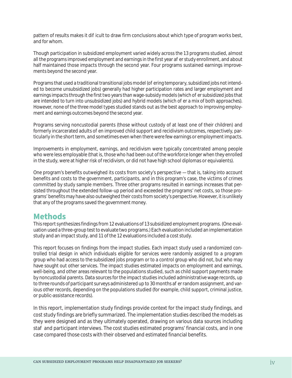pattern of results makes it diet cult to draw firm conclusions about which type of program works best, and for whom.

Though participation in subsidized employment varied widely across the 13 programs studied, almost all the programs improved employment and earnings in the first year a erstudy enrollment, and about half maintained those impacts through the second year. Four programs sustained earnings improvements beyond the second year.

Programs that used a traditional transitional jobs model (o ering temporary, subsidized jobs not intended to become unsubsidized jobs) generally had higher participation rates and larger employment and earnings impacts through the first two years than wage-subsidy models (which oer subsidized jobs that are intended to turn into unsubsidized jobs) and hybrid models (which o er a mix of both approaches). However, none of the three model types studied stands out as the best approach to improving employment and earnings outcomes beyond the second year.

Programs serving noncustodial parents (those without custody of at least one of their children) and formerly incarcerated adults of en improved child support and recidivism outcomes, respectively, particularly in the short term, and sometimes even when there were few earnings or employment impacts.

Improvements in employment, earnings, and recidivism were typically concentrated among people who were less employable (that is, those who had been out of the workforce longer when they enrolled in the study, were at higher risk of recidivism, or did not have high school diplomas or equivalents).

One program's benefits outweighed its costs from society's perspective — that is, taking into account benefits and costs to the government, participants, and in this program's case, the victims of crimes committed by study sample members. Three other programs resulted in earnings increases that persisted throughout the extended follow-up period and exceeded the programs' net costs, so those programs' benefits may have also outweighed their costs from society's perspective. However, it is unlikely that any of the programs saved the government money.

### **Methods**

This report synthesizes findings from 12 evaluations of 13 subsidized employment programs. (One evaluation used a three-group test to evaluate two programs.) Each evaluation included an implementation study and an impact study, and 11 of the 12 evaluations included a cost study.

This report focuses on findings from the impact studies. Each impact study used a randomized controlled trial design in which individuals eligible for services were randomly assigned to a program group who had access to the subsidized jobs program or to a control group who did not, but who may have sought out other services. The impact studies estimated impacts on employment and earnings, well-being, and other areas relevant to the populations studied, such as child support payments made by noncustodial parents. Data sources for the impact studies included administrative wage records, up to three rounds of participant surveys administered up to 30 months a er random assignment, and various other records, depending on the populations studied (for example, child support, criminal justice, or public-assistance records).

In this report, implementation study findings provide context for the impact study findings, and cost study findings are briefly summarized. The implementation studies described the models as they were designed and as they ultimately operated, drawing on various data sources including sta and participant interviews. The cost studies estimated programs' financial costs, and in one case compared those costs with their observed and estimated financial benefits.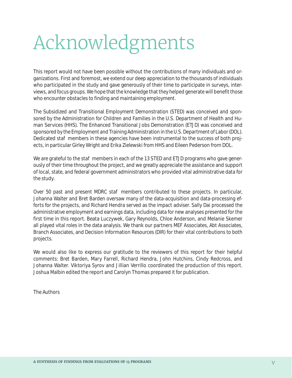# Acknowledgments

This report would not have been possible without the contributions of many individuals and organizations. First and foremost, we extend our deep appreciation to the thousands of individuals who participated in the study and gave generously of their time to participate in surveys, interviews, and focus groups. We hope that the knowledge that they helped generate will benefit those who encounter obstacles to finding and maintaining employment.

The Subsidized and Transitional Employment Demonstration (STED) was conceived and sponsored by the Administration for Children and Families in the U.S. Department of Health and Human Services (HHS). The Enhanced Transitional Jobs Demonstration (ETJD) was conceived and sponsored by the Employment and Training Administration in the U.S. Department of Labor (DOL). Dedicated sta members in these agencies have been instrumental to the success of both projects, in particular Girley Wright and Erika Zielewski from HHS and Eileen Pederson from DOL.

We are grateful to the sta members in each of the 13 STED and ETJD programs who gave generously of their time throughout the project, and we greatly appreciate the assistance and support of local, state, and federal government administrators who provided vital administrative data for the study.

Over 50 past and present MDRC sta members contributed to these projects. In particular, Johanna Walter and Bret Barden oversaw many of the data-acquisition and data-processing efforts for the projects, and Richard Hendra served as the impact adviser. Sally Dai processed the administrative employment and earnings data, including data for new analyses presented for the first time in this report. Beata Luczywek, Gary Reynolds, Chloe Anderson, and Melanie Skemer all played vital roles in the data analysis. We thank our partners MEF Associates, Abt Associates, Branch Associates, and Decision Information Resources (DIR) for their vital contributions to both projects.

We would also like to express our gratitude to the reviewers of this report for their helpful comments: Bret Barden, Mary Farrell, Richard Hendra, John Hutchins, Cindy Redcross, and Johanna Walter. Viktoriya Syrov and Jillian Verrillo coordinated the production of this report. Joshua Malbin edited the report and Carolyn Thomas prepared it for publication.

The Authors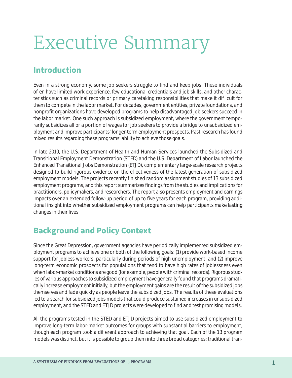# Executive Summary

### **Introduction**

Even in a strong economy, some job seekers struggle to find and keep jobs. These individuals o en have limited work experience, few educational credentials and job skills, and other characteristics such as criminal records or primary caretaking responsibilities that make it di ficult for them to compete in the labor market. For decades, government entities, private foundations, and nonprofit organizations have developed programs to help disadvantaged job seekers succeed in the labor market. One such approach is subsidized employment, where the government temporarily subsidizes all or a portion of wages for job seekers to provide a bridge to unsubsidized employment and improve participants' longer-term employment prospects. Past research has found mixed results regarding these programs' ability to achieve those goals.

In late 2010, the U.S. Department of Health and Human Services launched the Subsidized and Transitional Employment Demonstration (STED) and the U.S. Department of Labor launched the Enhanced Transitional Jobs Demonstration (ETJD), complementary large-scale research projects designed to build rigorous evidence on the eectiveness of the latest generation of subsidized employment models. The projects recently finished random assignment studies of 13 subsidized employment programs, and this report summarizes findings from the studies and implications for practitioners, policymakers, and researchers. The report also presents employment and earnings impacts over an extended follow-up period of up to five years for each program, providing additional insight into whether subsidized employment programs can help participants make lasting changes in their lives.

### **Background and Policy Context**

Since the Great Depression, government agencies have periodically implemented subsidized employment programs to achieve one or both of the following goals: (1) provide work-based income support for jobless workers, particularly during periods of high unemployment, and (2) improve long-term economic prospects for populations that tend to have high rates of joblessness even when labor-market conditions are good (for example, people with criminal records). Rigorous studies of various approaches to subsidized employment have generally found that programs dramatically increase employment initially, but the employment gains are the result of the subsidized jobs themselves and fade quickly as people leave the subsidized jobs. The results of these evaluations led to a search for subsidized jobs models that could produce sustained increases in unsubsidized employment, and the STED and ETJD projects were developed to find and test promising models.

All the programs tested in the STED and ETJD projects aimed to use subsidized employment to improve long-term labor-market outcomes for groups with substantial barriers to employment, though each program took a dieferent approach to achieving that goal. Each of the 13 program models was distinct, but it is possible to group them into three broad categories: traditional tran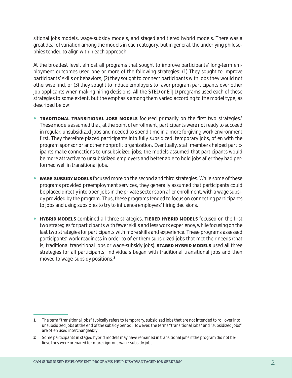sitional jobs models, wage-subsidy models, and staged and tiered hybrid models. There was a great deal of variation among the models in each category, but in general, the underlying philosophies tended to align within each approach.

At the broadest level, almost all programs that sought to improve participants' long-term employment outcomes used one or more of the following strategies: (1) They sought to improve participants' skills or behaviors, (2) they sought to connect participants with jobs they would not otherwise find, or (3) they sought to induce employers to favor program participants over other job applicants when making hiring decisions. All the STED or ETJD programs used each of these strategies to some extent, but the emphasis among them varied according to the model type, as described below:

- **TRADITIONAL TRANSITIONAL JOBS MODELS** focused primarily on the first two strategies.<sup>1</sup> These models assumed that, at the point of enrollment, participants were not ready to succeed in regular, unsubsidized jobs and needed to spend time in a more forgiving work environment first. They therefore placed participants into fully subsidized, temporary jobs, o en with the program sponsor or another nonprofit organization. Eventually, sta members helped participants make connections to unsubsidized jobs; the models assumed that participants would be more attractive to unsubsidized employers and better able to hold jobs a er they had performed well in transitional jobs.
- **WAGE-SUBSIDY MODELS** focused more on the second and third strategies. While some of these programs provided preemployment services, they generally assumed that participants could be placed directly into open jobs in the private sector soon a erenrollment, with a wage subsidy provided by the program. Thus, these programs tended to focus on connecting participants to jobs and using subsidies to try to influence employers' hiring decisions.
- **HYBRID MODELS** combined all three strategies. TIERED HYBRID MODELS focused on the first two strategies for participants with fewer skills and less work experience, while focusing on the last two strategies for participants with more skills and experience. These programs assessed participants' work readiness in order to o er them subsidized jobs that met their needs (that is, traditional transitional jobs or wage-subsidy jobs). **STAGED HYBRID MODELS** used all three strategies for all participants; individuals began with traditional transitional jobs and then moved to wage-subsidy positions.**<sup>2</sup>**

**<sup>1</sup>** The term "transitional jobs" typically refers to temporary, subsidized jobs that are not intended to roll over into unsubsidized jobs at the end of the subsidy period. However, the terms "transitional jobs" and "subsidized jobs" are o en used interchangeably.

**<sup>2</sup>** Some participants in staged hybrid models may have remained in transitional jobs if the program did not believe they were prepared for more rigorous wage-subsidy jobs.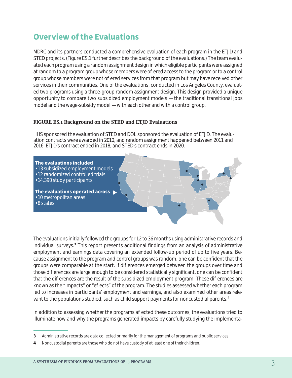### **Overview of the Evaluations**

MDRC and its partners conducted a comprehensive evaluation of each program in the ETJD and STED projects. (Figure ES.1 further describes the background of the evaluations.) The team evaluated each program using a random assignment design in which eligible participants were assigned at random to a program group whose members were offered access to the program or to a control group whose members were not o ered services from that program but may have received other services in their communities. One of the evaluations, conducted in Los Angeles County, evaluated two programs using a three-group random assignment design. This design provided a unique opportunity to compare two subsidized employment models — the traditional transitional jobs model and the wage-subsidy model — with each other and with a control group.

#### **FIGURE ES.1 Background on the STED and ETJD Evaluations**

HHS sponsored the evaluation of STED and DOL sponsored the evaluation of ETJD. The evaluation contracts were awarded in 2010, and random assignment happened between 2011 and 2016. ETJD's contract ended in 2018, and STED's contract ends in 2020.



The evaluations initially followed the groups for 12 to 36 months using administrative records and individual surveys.**<sup>3</sup>** This report presents additional findings from an analysis of administrative employment and earnings data covering an extended follow-up period of up to five years. Because assignment to the program and control groups was random, one can be confident that the groups were comparable at the start. If dierences emerged between the groups over time and those dieferences are large enough to be considered statistically significant, one can be confident that the dieferences are the result of the subsidized employment program. These dieferences are known as the "impacts" or "e ects" of the program. The studies assessed whether each program led to increases in participants' employment and earnings, and also examined other areas relevant to the populations studied, such as child support payments for noncustodial parents.**<sup>4</sup>**

In addition to assessing whether the programs a ected these outcomes, the evaluations tried to illuminate how and why the programs generated impacts by carefully studying the implementa-

**<sup>3</sup>** Administrative records are data collected primarily for the management of programs and public services.

**<sup>4</sup>** Noncustodial parents are those who do not have custody of at least one of their children.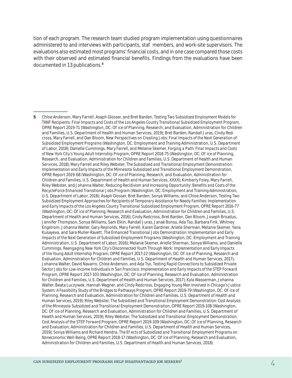tion of each program. The research team studied program implementation using questionnaires administered to and interviews with participants, sta members, and work-site supervisors. The evaluations also estimated most programs' financial costs, and in one case compared those costs with their observed and estimated financial benefits. Findings from the evaluations have been documented in 13 publications.**<sup>5</sup>**

**<sup>5</sup>** Chloe Anderson, Mary Farrell, Asaph Glosser, and Bret Barden, *Testing Two Subsidized Employment Models for TANF Recipients: Final Impacts and Costs of the Los Angeles County Transitional Subsidized Employment Program*, OPRE Report 2019-71 (Washington, DC: O ice of Planning, Research, and Evaluation, Administration for Children and Families, U.S. Department of Health and Human Services, 2019); Bret Barden, Randall Juras, Cindy Redcross, Mary Farrell, and Dan Bloom, *New Perspectives on Creating Jobs: Final Impacts of the Next Generation of Subsidized Employment Programs* (Washington, DC: Employment and Training Administration, U.S. Department of Labor, 2018); Danielle Cummings, Mary Farrell, and Melanie Skemer, *Forging a Path: Final Impacts and Costs of New York City's Young Adult Internship Program*, OPRE Report 2018-75 (Washington, DC: O ice of Planning, Research, and Evaluation, Administration for Children and Families, U.S. Department of Health and Human Services, 2018); Mary Farrell and Riley Webster, *The Subsidized and Transitional Employment Demonstration: Implementation and Early Impacts of the Minnesota Subsidized and Transitional Employment Demonstration*, OPRE Report 2019-68 (Washington, DC: O ice of Planning, Research, and Evaluation, Administration for Children and Families, U.S. Department of Health and Human Services, XXXX); Kimberly Foley, Mary Farrell, Riley Webster, and Johanna Walter, *Reducing Recidivism and Increasing Opportunity: Benefits and Costs of the RecycleForce Enhanced Transitional Jobs Program* (Washington, DC: Employment and Training Administration, U.S. Department of Labor, 2018); Asaph Glosser, Bret Barden, Sonya Williams, and Chloe Anderson, *Testing Two Subsidized Employment Approaches for Recipients of Temporary Assistance for Needy Families: Implementation and Early Impacts of the Los Angeles County Transitional Subsidized Employment Program*, OPRE Report 2016-77 (Washington, DC: O ice of Planning, Research and Evaluation, Administration for Children and Families, U.S. Department of Health and Human Services, 2016); Cindy Redcross, Bret Barden, Dan Bloom, Joseph Broadus, Jennifer Thompson, Sonya Williams, Sam Elkin, Randall Juras, Janaé Bonsu, Ada Tso, Barbara Fink, Whitney Engstrom, Johanna Walter, Gary Reynolds, Mary Farrell, Karen Gardiner, Arielle Sherman, Melanie Skemer, Yana Kusayeva, and Sara Muller-Ravett, *The Enhanced Transitional Jobs Demonstration: Implementation and Early Impacts of the Next Generation of Subsidized Employment Programs* (Washington, DC: Employment and Training Administration, U.S. Department of Labor, 2016); Melanie Skemer, Arielle Sherman, Sonya Williams, and Danielle Cummings, *Reengaging New York City's Disconnected Youth Through Work: Implementation and Early Impacts of the Young Adult Internship Program*, OPRE Report 2017-22 (Washington, DC: O ice of Planning, Research and Evaluation, Administration for Children and Families, U.S. Department of Health and Human Services, 2017); Johanna Walter, David Navarro, Chloe Anderson, and Ada Tso, *Testing Rapid Connections to Subsidized Private Sector Jobs for Low-Income Individuals in San Francisco: Implementation and Early Impacts of the STEP Forward Program*, OPRE Report 2017-103 (Washington, DC: O ice of Planning, Research and Evaluation, Administration for Children and Families, U.S. Department of Health and Human Services, 2017); Kyla Wasserman, Johanna Walter, Beata Luczywek, Hannah Wagner, and Cindy Redcross, *Engaging Young Men Involved in Chicago's Justice System: A Feasibility Study of the Bridges to Pathways Program*, OPRE Report 2019-79 (Washington, DC: O ice of Planning, Research and Evaluation, Administration for Children and Families, U.S. Department of Health and Human Services, 2019); Riley Webster, *The Subsidized and Transitional Employment Demonstration: Cost Analysis of the Minnesota Subsidized and Transitional Employment Demonstration*, OPRE Report 2019-108 (Washington, DC: O ice of Planning, Research and Evaluation, Administration for Children and Families, U.S. Department of Health and Human Services, 2019); Riley Webster, *The Subsidized and Transitional Employment Demonstration: Cost Analysis of the STEP Forward Program*, OPRE Report 2019-109 (Washington, DC: O ice of Planning, Research and Evaluation, Administration for Children and Families, U.S. Department of Health and Human Services, 2019); Sonya Williams and Richard Hendra, *The E ects of Subsidized and Transitional Employment Programs on Noneconomic Well-Being*, OPRE Report 2018-17 (Washington, DC: O ice of Planning, Research and Evaluation, Administration for Children and Families, U.S. Department of Health and Human Services, 2018).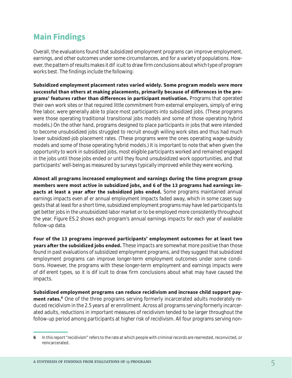### **Main Findings**

Overall, the evaluations found that subsidized employment programs can improve employment, earnings, and other outcomes under some circumstances, and for a variety of populations. However, the pattern of results makes it die cult to draw firm conclusions about which type of program works best. The findings include the following:

**Subsidized employment placement rates varied widely. Some program models were more successful than others at making placements, primarily because of differences in the programs' features rather than differences in participant motivation.** Programs that operated their own work sites or that required little commitment from external employers, simply offering free labor, were generally able to place most participants into subsidized jobs. (These programs were those operating traditional transitional jobs models and some of those operating hybrid models.) On the other hand, programs designed to place participants in jobs that were intended to become unsubsidized jobs struggled to recruit enough willing work sites and thus had much lower subsidized-job placement rates. (These programs were the ones operating wage-subsidy models and some of those operating hybrid models.) It is important to note that when given the opportunity to work in subsidized jobs, most eligible participants worked and remained engaged in the jobs until those jobs ended or until they found unsubsidized work opportunities, and that participants' well-being as measured by surveys typically improved while they were working.

**Almost all programs increased employment and earnings during the time program group members were most active in subsidized jobs, and 6 of the 13 programs had earnings impacts at least a year after the subsidized jobs ended.** Some programs maintained annual earnings impacts even a er annual employment impacts faded away, which in some cases suggests that at least for a short time, subsidized employment programs may have led participants to get better jobs in the unsubsidized labor market or to be employed more consistently throughout the year. Figure ES.2 shows each program's annual earnings impacts for each year of available follow-up data.

**Four of the 13 programs improved participants' employment outcomes for at least two years after the subsidized jobs ended.** These impacts are somewhat more positive than those found in past evaluations of subsidized employment programs, and they suggest that subsidized employment programs can improve longer-term employment outcomes under some conditions. However, the programs with these longer-term employment and earnings impacts were of dieferent types, so it is dietally to draw firm conclusions about what may have caused the impacts.

**Subsidized employment programs can reduce recidivism and increase child support pay**ment rates.<sup>6</sup> One of the three programs serving formerly incarcerated adults moderately reduced recidivism in the 2.5 years a er enrollment. Across all programs serving formerly incarcerated adults, reductions in important measures of recidivism tended to be larger throughout the follow-up period among participants at higher risk of recidivism. All four programs serving non-

**<sup>6</sup>** In this report "recidivism" refers to the rate at which people with criminal records are rearrested, reconvicted, or reincarcerated.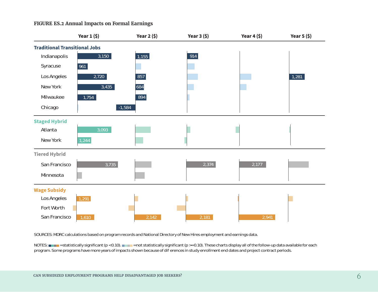#### **FIGURE ES.2 Annual Impacts on Formal Earnings**



SOURCES: MDRC calculations based on program records and National Directory of New Hires employment and earnings data.

NOTES:  $=$  statistically significant (p < 0.10).  $=$  not statistically significant (p >= 0.10). These charts display all of the follow-up data available for each program. Some programs have more years of impacts shown because of diepences in study enrollment end dates and project contract periods.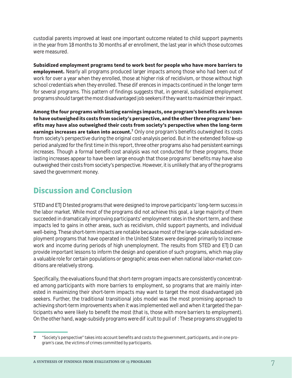custodial parents improved at least one important outcome related to child support payments in the year from 18 months to 30 months a er enrollment, the last year in which those outcomes were measured.

**Subsidized employment programs tend to work best for people who have more barriers to employment.** Nearly all programs produced larger impacts among those who had been out of work for over a year when they enrolled, those at higher risk of recidivism, or those without high school credentials when they enrolled. These dieferences in impacts continued in the longer term for several programs. This pattern of findings suggests that, in general, subsidized employment programs should target the most disadvantaged job seekers if they want to maximize their impact.

**Among the four programs with lasting earnings impacts, one program's benefits are known to have outweighed its costs from society's perspective, and the other three programs' benefits may have also outweighed their costs from society's perspective when the long-term**  earnings increases are taken into account.<sup>7</sup> Only one program's benefits outweighed its costs from society's perspective during the original cost-analysis period. But in the extended follow-up period analyzed for the first time in this report, three other programs also had persistent earnings increases. Though a formal benefit-cost analysis was not conducted for these programs, those lasting increases appear to have been large enough that those programs' benefits may have also outweighed their costs from society's perspective. However, it is unlikely that any of the programs saved the government money.

### **Discussion and Conclusion**

STED and ETJD tested programs that were designed to improve participants' long-term success in the labor market. While most of the programs did not achieve this goal, a large majority of them succeeded in dramatically improving participants' employment rates in the short term, and these impacts led to gains in other areas, such as recidivism, child support payments, and individual well-being. These short-term impacts are notable because most of the large-scale subsidized employment programs that have operated in the United States were designed primarily to increase work and income during periods of high unemployment. The results from STED and ETJD can provide important lessons to inform the design and operation of such programs, which may play a valuable role for certain populations or geographic areas even when national labor-market conditions are relatively strong.

Specifically, the evaluations found that short-term program impacts are consistently concentrated among participants with more barriers to employment, so programs that are mainly interested in maximizing their short-term impacts may want to target the most disadvantaged job seekers. Further, the traditional transitional jobs model was the most promising approach to achieving short-term improvements when it was implemented well and when it targeted the participants who were likely to benefit the most (that is, those with more barriers to employment). On the other hand, wage-subsidy programs were di icult to pull off: These programs struggled to

**<sup>7</sup>** "Society's perspective" takes into account benefits and costs to the government, participants, and in one program's case, the victims of crimes committed by participants.